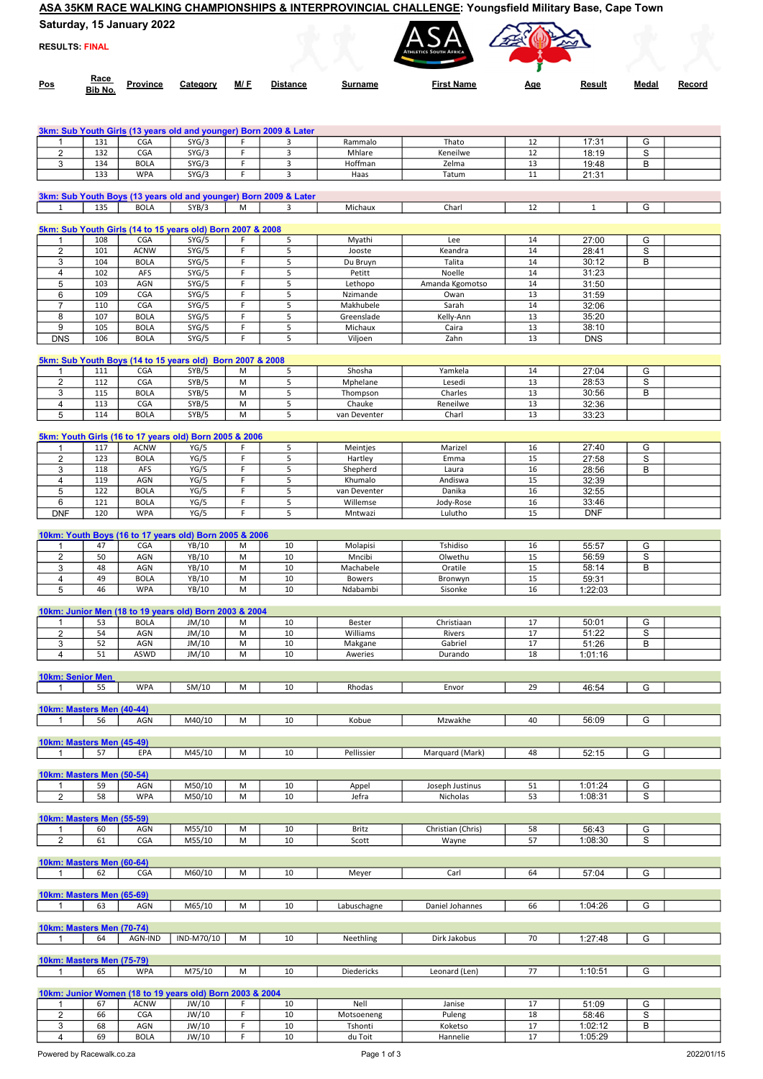## ASA 35KM RACE WALKING CHAMPIONSHIPS & INTERPROVINCIAL CHALLENGE: Youngsfield Military Base, Cape Town

|  | Saturday, 15 January 2022 |  |
|--|---------------------------|--|
|--|---------------------------|--|

RESULTS: FINAL

| REJULIJ FINAL |                        |          |          |     |                 |         | <b>ATHLETICS SOUTH AFRICA</b> |            |        |       |        |
|---------------|------------------------|----------|----------|-----|-----------------|---------|-------------------------------|------------|--------|-------|--------|
| Pos           | <u>Race</u><br>Bib No. | Province | Category | M/F | <b>Distance</b> | Surname | <b>First Name</b>             | <u>Age</u> | Result | Medal | Record |

ASA ATA

|                                |            |                    |                                                            |         | 3km: Sub Youth Girls (13 years old and younger) Born 2009 & Later |                    |                   |          |                |        |  |
|--------------------------------|------------|--------------------|------------------------------------------------------------|---------|-------------------------------------------------------------------|--------------------|-------------------|----------|----------------|--------|--|
| 1                              | 131        | <b>CGA</b>         | SYG/3                                                      | F.      | 3                                                                 | Rammalo            | Thato             | 12       | 17:31          | G      |  |
| 2                              | 132        | CGA                | SYG/3                                                      | F       | 3                                                                 | Mhlare             | Keneilwe          | 12       | 18:19          | S      |  |
| 3                              | 134        | <b>BOLA</b>        | SYG/3                                                      | F       | 3                                                                 | Hoffman            | Zelma             | 13       | 19:48          | В      |  |
|                                | 133        | <b>WPA</b>         | SYG/3                                                      | F.      | 3                                                                 | Haas               | Tatum             | 11       | 21:31          |        |  |
|                                |            |                    |                                                            |         |                                                                   |                    |                   |          |                |        |  |
|                                |            |                    |                                                            |         | 3km: Sub Youth Boys (13 years old and younger) Born 2009 & Later  |                    |                   |          |                |        |  |
| $\mathbf{1}$                   | 135        | <b>BOLA</b>        | SYB/3                                                      | M       | 3                                                                 | Michaux            | Charl             | 12       | $\mathbf{1}$   | G      |  |
|                                |            |                    |                                                            |         |                                                                   |                    |                   |          |                |        |  |
|                                |            |                    | 5km: Sub Youth Girls (14 to 15 years old) Born 2007 & 2008 |         |                                                                   |                    |                   |          |                |        |  |
| 1                              | 108        | CGA                | SYG/5                                                      | F       | 5                                                                 | Myathi             | Lee               | 14       | 27:00          | G      |  |
| $\overline{2}$                 | 101        | <b>ACNW</b>        | SYG/5                                                      | F       | 5                                                                 | Jooste             | Keandra           | 14       | 28:41          | S      |  |
| 3                              | 104        | <b>BOLA</b>        | SYG/5                                                      | F       | 5                                                                 | Du Bruyn           | Talita            | 14       | 30:12          | В      |  |
| 4                              | 102        | AFS                | SYG/5                                                      | F       | 5                                                                 | Petitt             | Noelle            | 14       | 31:23          |        |  |
| 5                              | 103        | AGN                | SYG/5                                                      | F       | 5                                                                 | Lethopo            | Amanda Kgomotso   | 14       | 31:50          |        |  |
| 6                              | 109        | CGA                | SYG/5                                                      | F       | 5                                                                 | Nzimande           | Owan              | 13       | 31:59          |        |  |
| $\overline{7}$                 | 110        | CGA                | SYG/5                                                      | F       | 5                                                                 | Makhubele          | Sarah             | 14       | 32:06          |        |  |
| 8                              | 107        | <b>BOLA</b>        | SYG/5                                                      | F       | 5                                                                 | Greenslade         | Kelly-Ann         | 13       | 35:20          |        |  |
| 9                              | 105        | <b>BOLA</b>        | SYG/5                                                      | F       | 5                                                                 | Michaux            | Caira             | 13       | 38:10          |        |  |
| <b>DNS</b>                     | 106        | <b>BOLA</b>        | SYG/5                                                      | F       | 5                                                                 | Viljoen            | Zahn              | 13       | <b>DNS</b>     |        |  |
|                                |            |                    |                                                            |         |                                                                   |                    |                   |          |                |        |  |
|                                |            |                    | 5km: Sub Youth Boys (14 to 15 years old) Born 2007 & 2008  |         |                                                                   |                    | Yamkela           |          |                |        |  |
| 1<br>$\overline{2}$            | 111<br>112 | CGA<br>CGA         | SYB/5<br>SYB/5                                             | M<br>M  | 5<br>5                                                            | Shosha<br>Mphelane | Lesedi            | 14<br>13 | 27:04<br>28:53 | G<br>S |  |
|                                | 115        | <b>BOLA</b>        |                                                            | M       | 5                                                                 | Thompson           | Charles           | 13       |                | В      |  |
| 3<br>4                         | 113        | CGA                | SYB/5<br>SYB/5                                             | M       | 5                                                                 | Chauke             | Reneilwe          | 13       | 30:56<br>32:36 |        |  |
| 5                              | 114        | <b>BOLA</b>        | SYB/5                                                      | M       | 5                                                                 | van Deventer       | Charl             | 13       | 33:23          |        |  |
|                                |            |                    |                                                            |         |                                                                   |                    |                   |          |                |        |  |
|                                |            |                    | 5km: Youth Girls (16 to 17 years old) Born 2005 & 2006     |         |                                                                   |                    |                   |          |                |        |  |
| 1                              | 117        | <b>ACNW</b>        | YG/5                                                       | F       | 5                                                                 | Meintjes           | Marizel           | 16       | 27:40          | G      |  |
| $\overline{2}$                 | 123        | <b>BOLA</b>        | YG/5                                                       | F       | 5                                                                 | Hartley            | Emma              | 15       | 27:58          | S      |  |
| 3                              | 118        | AFS                | YG/5                                                       | F       | 5                                                                 | Shepherd           | Laura             | 16       | 28:56          | В      |  |
| 4                              | 119        | AGN                | YG/5                                                       | F       | 5                                                                 | Khumalo            | Andiswa           | 15       | 32:39          |        |  |
| 5                              | 122        | <b>BOLA</b>        | YG/5                                                       | F       | 5                                                                 | van Deventer       | Danika            | 16       | 32:55          |        |  |
| 6                              | 121        | <b>BOLA</b>        | YG/5                                                       | F       | 5                                                                 | Willemse           | Jody-Rose         | 16       | 33:46          |        |  |
| <b>DNF</b>                     | 120        | <b>WPA</b>         | YG/5                                                       | F       | 5                                                                 | Mntwazi            | Lulutho           | 15       | <b>DNF</b>     |        |  |
|                                |            |                    |                                                            |         |                                                                   |                    |                   |          |                |        |  |
|                                |            |                    | 10km: Youth Boys (16 to 17 years old) Born 2005 & 2006     |         |                                                                   |                    |                   |          |                |        |  |
| 1                              | 47         | <b>CGA</b>         | YB/10                                                      | M       | 10                                                                | Molapisi           | Tshidiso          | 16       | 55:57          | G      |  |
| $\overline{2}$                 | 50         | AGN                | YB/10                                                      | M       | 10                                                                | Mncibi             | Olwethu           | 15       | 56:59          | S      |  |
| 3                              | 48         | AGN                | YB/10                                                      | M       | 10                                                                | Machabele          | Oratile           | 15       | 58:14          | в      |  |
| 4                              | 49         | <b>BOLA</b>        | YB/10                                                      | M       | 10                                                                | <b>Bowers</b>      | Bronwyn           | 15       | 59:31          |        |  |
| 5                              | 46         | <b>WPA</b>         | YB/10                                                      | M       | 10                                                                | Ndabambi           | Sisonke           | 16       | 1:22:03        |        |  |
|                                |            |                    |                                                            |         |                                                                   |                    |                   |          |                |        |  |
|                                |            |                    | 10km: Junior Men (18 to 19 years old) Born 2003 & 2004     |         |                                                                   |                    |                   |          |                |        |  |
| 1                              | 53         | <b>BOLA</b>        | JM/10                                                      | M       | 10                                                                | Bester             | Christiaan        | 17       | 50:01          | G      |  |
| 2                              | 54         | AGN                | JM/10                                                      | M       | 10                                                                | Williams           | Rivers            | 17       | 51:22          | S      |  |
| 3                              | 52         | AGN                | JM/10                                                      | M       | 10                                                                | Makgane            | Gabriel           | 17       | 51:26          | B      |  |
| 4                              | 51         | <b>ASWD</b>        | JM/10                                                      | M       | 10                                                                | Aweries            | Durando           | 18       | 1:01:16        |        |  |
|                                |            |                    |                                                            |         |                                                                   |                    |                   |          |                |        |  |
| <b>10km: Senior Men</b>        |            |                    |                                                            |         |                                                                   |                    |                   |          |                |        |  |
| 1                              | 55         | <b>WPA</b>         | SM/10                                                      | M       | 10                                                                | Rhodas             | Envor             | 29       | 46:54          | G      |  |
|                                |            |                    |                                                            |         |                                                                   |                    |                   |          |                |        |  |
| 10km: Masters Men (40-44)      |            |                    |                                                            |         |                                                                   |                    |                   |          |                |        |  |
| $\mathbf{1}$                   | 56         | AGN                | M40/10                                                     | M       | 10                                                                | Kobue              | Mzwakhe           | 40       | 56:09          | G      |  |
| 10km: Masters Men (45-49)      |            |                    |                                                            |         |                                                                   |                    |                   |          |                |        |  |
| 1                              | 57         | EPA                | M45/10                                                     | M       | 10                                                                | Pellissier         | Marquard (Mark)   | 48       | 52:15          | G      |  |
|                                |            |                    |                                                            |         |                                                                   |                    |                   |          |                |        |  |
| 10km: Masters Men (50-54)      |            |                    |                                                            |         |                                                                   |                    |                   |          |                |        |  |
| $\mathbf{1}$                   | 59         | AGN                | M50/10                                                     | M       | 10                                                                | Appel              | Joseph Justinus   | 51       | 1:01:24        | G      |  |
| $\overline{2}$                 | 58         | <b>WPA</b>         | M50/10                                                     | M       | 10                                                                | Jefra              | Nicholas          | 53       | 1:08:31        | S      |  |
|                                |            |                    |                                                            |         |                                                                   |                    |                   |          |                |        |  |
|                                |            |                    |                                                            |         |                                                                   |                    |                   |          |                |        |  |
| 10km: Masters Men (55-59)      |            |                    |                                                            |         |                                                                   |                    |                   |          |                |        |  |
| 1                              | 60         | AGN                | M55/10                                                     | M       | 10                                                                | Britz              | Christian (Chris) | 58       | 56:43          | G      |  |
| $\overline{2}$                 | 61         | CGA                | M55/10                                                     | M       | 10                                                                | Scott              | Wayne             | 57       | 1:08:30        | S      |  |
|                                |            |                    |                                                            |         |                                                                   |                    |                   |          |                |        |  |
| 10km: Masters Men (60-64)      |            |                    |                                                            |         |                                                                   |                    |                   |          |                |        |  |
| $\mathbf{1}$                   | 62         | <b>CGA</b>         | M60/10                                                     | M       | 10                                                                | Meyer              | Carl              | 64       | 57:04          | G      |  |
|                                |            |                    |                                                            |         |                                                                   |                    |                   |          |                |        |  |
| 10km: Masters Men (65-69)      |            |                    |                                                            |         |                                                                   |                    |                   |          |                |        |  |
| -1                             | 63         | AGN                | M65/10                                                     | M       | 10                                                                | Labuschagne        | Daniel Johannes   | 66       | 1:04:26        | G      |  |
|                                |            |                    |                                                            |         |                                                                   |                    |                   |          |                |        |  |
| 10km: Masters Men (70-74)      |            |                    |                                                            |         |                                                                   |                    |                   |          |                |        |  |
| $\mathbf{1}$                   | 64         | AGN-IND            | IND-M70/10                                                 | M       | 10                                                                | Neethling          | Dirk Jakobus      | 70       | 1:27:48        | G      |  |
|                                |            |                    |                                                            |         |                                                                   |                    |                   |          |                |        |  |
| 10km: Masters Men (75-79)      |            |                    |                                                            |         |                                                                   |                    |                   |          |                |        |  |
| $\mathbf{1}$                   | 65         | <b>WPA</b>         | M75/10                                                     | M       | 10                                                                | Diedericks         | Leonard (Len)     | 77       | 1:10:51        | G      |  |
|                                |            |                    |                                                            |         |                                                                   |                    |                   |          |                |        |  |
|                                |            |                    | 10km: Junior Women (18 to 19 years old) Born 2003 & 2004   |         |                                                                   |                    |                   |          |                |        |  |
| $\mathbf{1}$<br>$\overline{2}$ | 67<br>66   | <b>ACNW</b><br>CGA | JW/10<br>JW/10                                             | F<br>F. | 10<br>10                                                          | Nell<br>Motsoeneng | Janise<br>Puleng  | 17<br>18 | 51:09<br>58:46 | G<br>S |  |

4 69 BOLA JW/10 F 10 du Toit Hannelie 17 1:05:29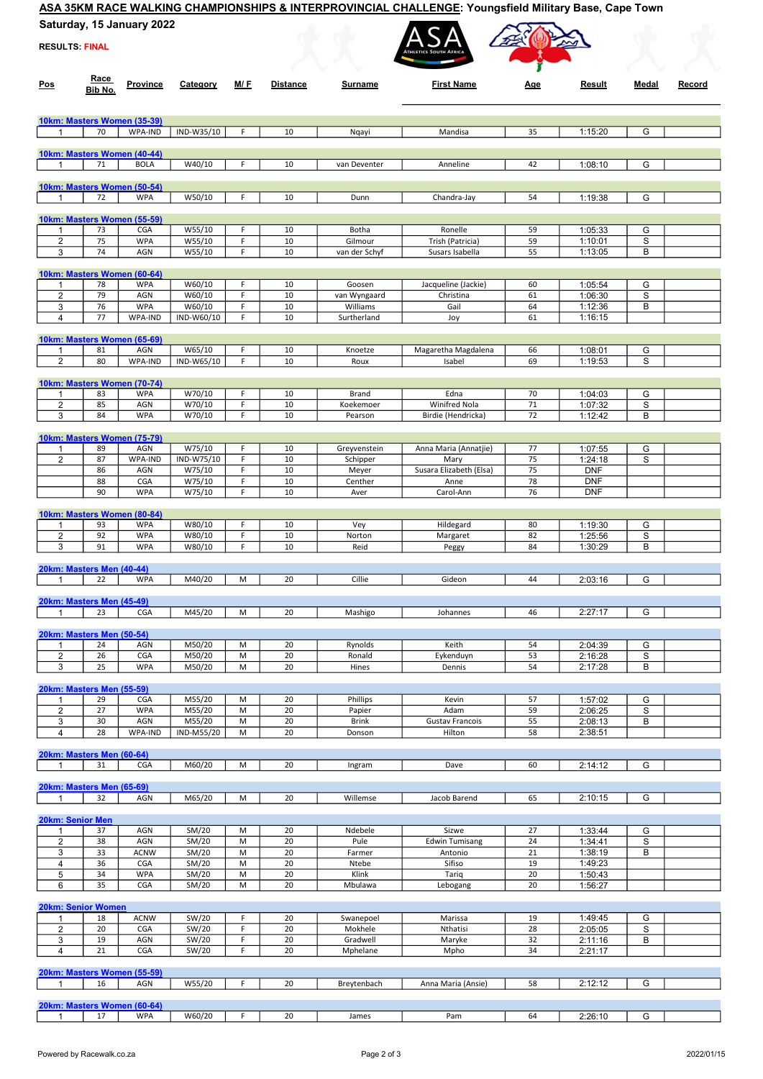## ASA 35KM RACE WALKING CHAMPIONSHIPS & INTERPROVINCIAL CHALLENGE: Youngsfield Military Base, Cape Town

Saturday, 15 January 2022

|                           | Saturday, 15 January 2022 |                                           |                  |        |                 |                        |                                     |            |                          |        |        |
|---------------------------|---------------------------|-------------------------------------------|------------------|--------|-----------------|------------------------|-------------------------------------|------------|--------------------------|--------|--------|
| <b>RESULTS: FINAL</b>     |                           |                                           |                  |        |                 |                        |                                     |            |                          |        |        |
| <u>Pos</u>                | <u>Race</u><br>Bib No.    | Province                                  | Category         | M/ F   | <b>Distance</b> | Surname                | <b>First Name</b>                   | <u>Age</u> | Result                   | Medal  | Record |
|                           |                           | 10km: Masters Women (35-39)               |                  |        |                 |                        |                                     |            |                          |        |        |
| $\mathbf{1}$              | 70                        | WPA-IND                                   | IND-W35/10       | F      | 10              | Nqayi                  | Mandisa                             | 35         | 1:15:20                  | G      |        |
|                           |                           | 10km: Masters Women (40-44)               |                  |        |                 |                        |                                     |            |                          |        |        |
| -1                        | 71                        | <b>BOLA</b>                               | W40/10           | F      | 10              | van Deventer           | Anneline                            | 42         | 1:08:10                  | G      |        |
|                           |                           | 10km: Masters Women (50-54)               |                  |        |                 |                        |                                     |            |                          |        |        |
| $\mathbf{1}$              | 72                        | <b>WPA</b>                                | W50/10           | F      | 10              | Dunn                   | Chandra-Jay                         | 54         | 1:19:38                  | G      |        |
|                           |                           |                                           |                  |        |                 |                        |                                     |            |                          |        |        |
| -1                        | 73                        | 10km: Masters Women (55-59)<br>CGA        | W55/10           | F      | 10              | Botha                  | Ronelle                             | 59         | 1:05:33                  | G      |        |
| $\overline{2}$            | 75                        | <b>WPA</b>                                | W55/10           | F      | 10              | Gilmour                | Trish (Patricia)                    | 59         | 1:10:01                  | S      |        |
| 3                         | 74                        | AGN                                       | W55/10           | F      | 10              | van der Schyf          | Susars Isabella                     | 55         | 1:13:05                  | в      |        |
|                           |                           | 10km: Masters Women (60-64)               |                  |        |                 |                        |                                     |            |                          |        |        |
| 1<br>2                    | 78<br>79                  | <b>WPA</b><br>AGN                         | W60/10<br>W60/10 | F<br>F | 10<br>10        | Goosen<br>van Wyngaard | Jacqueline (Jackie)<br>Christina    | 60<br>61   | 1:05:54<br>1:06:30       | G<br>S |        |
| 3                         | 76                        | <b>WPA</b>                                | W60/10           | F      | 10              | Williams               | Gail                                | 64         | 1:12:36                  | В      |        |
| $\overline{4}$            | 77                        | WPA-IND                                   | IND-W60/10       | F      | 10              | Surtherland            | Joy                                 | 61         | 1:16:15                  |        |        |
|                           |                           | 10km: Masters Women (65-69)               |                  |        |                 |                        |                                     |            |                          |        |        |
| -1                        | 81                        | AGN                                       | W65/10           | F      | 10              | Knoetze                | Magaretha Magdalena                 | 66         | 1:08:01                  | G      |        |
| 2                         | 80                        | WPA-IND                                   | IND-W65/10       | F      | 10              | Roux                   | Isabel                              | 69         | 1:19:53                  | S      |        |
|                           |                           | 10km: Masters Women (70-74)               |                  |        |                 |                        |                                     |            |                          |        |        |
| -1                        | 83                        | <b>WPA</b>                                | W70/10           | F      | 10              | Brand                  | Edna                                | 70         | 1:04:03                  | G      |        |
| $\overline{2}$<br>3       | 85<br>84                  | AGN<br><b>WPA</b>                         | W70/10<br>W70/10 | F<br>F | 10<br>10        | Koekemoer<br>Pearson   | Winifred Nola<br>Birdie (Hendricka) | 71<br>72   | 1:07:32<br>1:12:42       | S<br>В |        |
|                           |                           |                                           |                  |        |                 |                        |                                     |            |                          |        |        |
| -1                        | 89                        | 10km: Masters Women (75-79)<br>AGN        | W75/10           | F      | 10              | Greyvenstein           | Anna Maria (Annatjie)               | 77         | 1:07:55                  | G      |        |
| $\sqrt{2}$                | 87                        | WPA-IND                                   | IND-W75/10       | F      | 10              | Schipper               | Mary                                | 75         | 1:24:18                  | S      |        |
|                           | 86                        | AGN                                       | W75/10           | F      | 10              | Meyer                  | Susara Elizabeth (Elsa)             | 75         | <b>DNF</b>               |        |        |
|                           | 88<br>90                  | CGA<br><b>WPA</b>                         | W75/10<br>W75/10 | F<br>F | 10<br>10        | Centher<br>Aver        | Anne<br>Carol-Ann                   | 78<br>76   | <b>DNF</b><br><b>DNF</b> |        |        |
|                           |                           |                                           |                  |        |                 |                        |                                     |            |                          |        |        |
| $\mathbf{1}$              | 93                        | 10km: Masters Women (80-84)<br><b>WPA</b> | W80/10           | F      | 10              | Vey                    | Hildegard                           | 80         | 1:19:30                  | G      |        |
| $\overline{2}$            | 92                        | <b>WPA</b>                                | W80/10           | F      | 10              | Norton                 | Margaret                            | 82         | 1:25:56                  | S      |        |
| 3                         | 91                        | <b>WPA</b>                                | W80/10           | F      | 10              | Reid                   | Peggy                               | 84         | 1:30:29                  | B      |        |
| 20km: Masters Men (40-44) |                           |                                           |                  |        |                 |                        |                                     |            |                          |        |        |
| 1                         | 22                        | <b>WPA</b>                                | M40/20           | M      | 20              | Cillie                 | Gideon                              | 44         | 2:03:16                  | G      |        |
| 20km: Masters Men (45-49) |                           |                                           |                  |        |                 |                        |                                     |            |                          |        |        |
| $\mathbf{1}$              | 23                        | <b>CGA</b>                                | M45/20           | M      | 20              | Mashigo                | Johannes                            | 46         | 2:27:17                  | G      |        |
| 20km: Masters Men (50-54) |                           |                                           |                  |        |                 |                        |                                     |            |                          |        |        |
| -1                        | 24                        | AGN                                       | M50/20           | M      | 20              | Rynolds                | Keith                               | 54         | 2:04:39                  | G      |        |
| $\overline{2}$            | 26<br>25                  | CGA                                       | M50/20           | M      | 20<br>20        | Ronald                 | Eykenduyn                           | 53         | 2:16:28                  | S      |        |
| 3                         |                           | <b>WPA</b>                                | M50/20           | M      |                 | Hines                  | Dennis                              | 54         | 2:17:28                  | в      |        |
| 20km: Masters Men (55-59) |                           |                                           |                  |        |                 |                        |                                     |            |                          |        |        |
| -1<br>$\overline{2}$      | 29<br>27                  | CGA<br><b>WPA</b>                         | M55/20<br>M55/20 | M<br>M | 20<br>20        | Phillips<br>Papier     | Kevin<br>Adam                       | 57<br>59   | 1:57:02<br>2:06:25       | G<br>S |        |
| 3                         | 30                        | AGN                                       | M55/20           | M      | 20              | <b>Brink</b>           | <b>Gustav Francois</b>              | 55         | 2:08:13                  | В      |        |
| $\overline{4}$            | 28                        | WPA-IND                                   | IND-M55/20       | M      | 20              | Donson                 | Hilton                              | 58         | 2:38:51                  |        |        |
| 20km: Masters Men (60-64) |                           |                                           |                  |        |                 |                        |                                     |            |                          |        |        |
| -1                        | 31                        | <b>CGA</b>                                | M60/20           | М      | 20              | Ingram                 | Dave                                | 60         | 2:14:12                  | G      |        |
| 20km: Masters Men (65-69) |                           |                                           |                  |        |                 |                        |                                     |            |                          |        |        |
| $\mathbf 1$               | 32                        | AGN                                       | M65/20           | M      | 20              | Willemse               | Jacob Barend                        | 65         | 2:10:15                  | G      |        |
| <b>20km: Senior Men</b>   |                           |                                           |                  |        |                 |                        |                                     |            |                          |        |        |
| -1                        | 37                        | AGN                                       | SM/20            | М      | 20              | Ndebele                | Sizwe                               | 27         | 1:33:44                  | G      |        |
| $\overline{2}$            | 38                        | AGN                                       | SM/20            | M      | 20              | Pule                   | <b>Edwin Tumisang</b>               | 24         | 1:34:41                  | S      |        |
| 3<br>4                    | 33<br>36                  | <b>ACNW</b><br>CGA                        | SM/20<br>SM/20   | M<br>M | 20<br>20        | Farmer<br>Ntebe        | Antonio<br>Sifiso                   | 21<br>19   | 1:38:19<br>1:49:23       | в      |        |
| 5                         | 34                        | <b>WPA</b>                                | SM/20            | M      | 20              | Klink                  | Tariq                               | 20         | 1:50:43                  |        |        |
| 6                         | 35                        | CGA                                       | SM/20            | M      | 20              | Mbulawa                | Lebogang                            | 20         | 1:56:27                  |        |        |
| <b>20km: Senior Women</b> |                           |                                           |                  |        |                 |                        |                                     |            |                          |        |        |
| -1<br>$\sqrt{2}$          | 18<br>20                  | <b>ACNW</b><br>CGA                        | SW/20            | F<br>F | 20<br>20        | Swanepoel<br>Mokhele   | Marissa<br>Nthatisi                 | 19         | 1:49:45                  | G      |        |
| 3                         | 19                        | AGN                                       | SW/20<br>SW/20   | F      | 20              | Gradwell               | Maryke                              | 28<br>32   | 2:05:05<br>2:11:16       | S<br>В |        |
| $\overline{4}$            | 21                        | CGA                                       | SW/20            | F      | 20              | Mphelane               | Mpho                                | 34         | 2:21:17                  |        |        |
|                           |                           | 20km: Masters Women (55-59)               |                  |        |                 |                        |                                     |            |                          |        |        |
| $\mathbf{1}$              | 16                        | AGN                                       | W55/20           | F      | 20              | Breytenbach            | Anna Maria (Ansie)                  | 58         | 2:12:12                  | G      |        |
|                           |                           | 20km: Masters Women (60-64)               |                  |        |                 |                        |                                     |            |                          |        |        |
| $\mathbf{1}$              | 17                        | <b>WPA</b>                                | W60/20           | F      | 20              | James                  | Pam                                 | 64         | 2:26:10                  | G      |        |